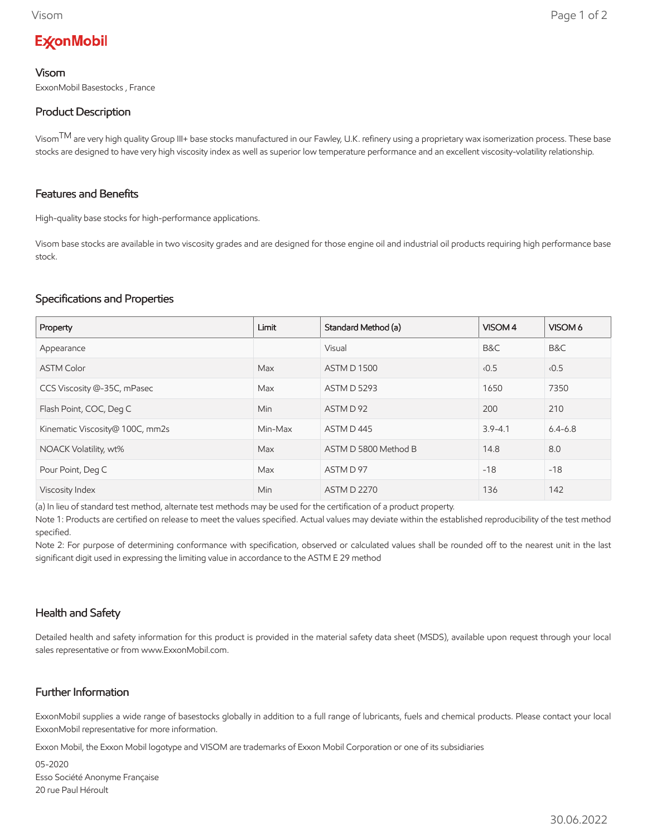# **ExconMobil**

#### Visom

ExxonMobil Basestocks , France

## Product Description

Visom<sup>TM</sup> are very high quality Group III+ base stocks manufactured in our Fawley, U.K. refinery using a proprietary wax isomerization process. These base stocks are designed to have very high viscosity index as well as superior low temperature performance and an excellent viscosity-volatility relationship.

## Features and Benefits

High-quality base stocks for high-performance applications.

Visom base stocks are available in two viscosity grades and are designed for those engine oil and industrial oil products requiring high performance base stock.

## Specifications and Properties

| Property                        | Limit   | Standard Method (a)  | VISOM 4     | VISOM 6     |
|---------------------------------|---------|----------------------|-------------|-------------|
| Appearance                      |         | Visual               | B&C         | B&C         |
| <b>ASTM Color</b>               | Max     | <b>ASTM D 1500</b>   | 0.5         | 0.5         |
| CCS Viscosity @-35C, mPasec     | Max     | <b>ASTM D 5293</b>   | 1650        | 7350        |
| Flash Point, COC, Deg C         | Min     | ASTM D 92            | 200         | 210         |
| Kinematic Viscosity@ 100C, mm2s | Min-Max | ASTM D445            | $3.9 - 4.1$ | $6.4 - 6.8$ |
| NOACK Volatility, wt%           | Max     | ASTM D 5800 Method B | 14.8        | 8.0         |
| Pour Point, Deg C               | Max     | ASTM D 97            | $-18$       | $-18$       |
| Viscosity Index                 | Min     | <b>ASTM D 2270</b>   | 136         | 142         |

(a) In lieu of standard test method, alternate test methods may be used for the certification of a product property.

Note 1: Products are certified on release to meet the values specified. Actual values may deviate within the established reproducibility of the test method specified.

Note 2: For purpose of determining conformance with specification, observed or calculated values shall be rounded off to the nearest unit in the last significant digit used in expressing the limiting value in accordance to the ASTM E 29 method

# Health and Safety

Detailed health and safety information for this product is provided in the material safety data sheet (MSDS), available upon request through your local sales representative or from www.ExxonMobil.com.

# Further Information

ExxonMobil supplies a wide range of basestocks globally in addition to a full range of lubricants, fuels and chemical products. Please contact your local ExxonMobil representative for more information.

Exxon Mobil, the Exxon Mobil logotype and VISOM are trademarks of Exxon Mobil Corporation or one of its subsidiaries

05-2020 Esso Société Anonyme Française 20 rue Paul Héroult